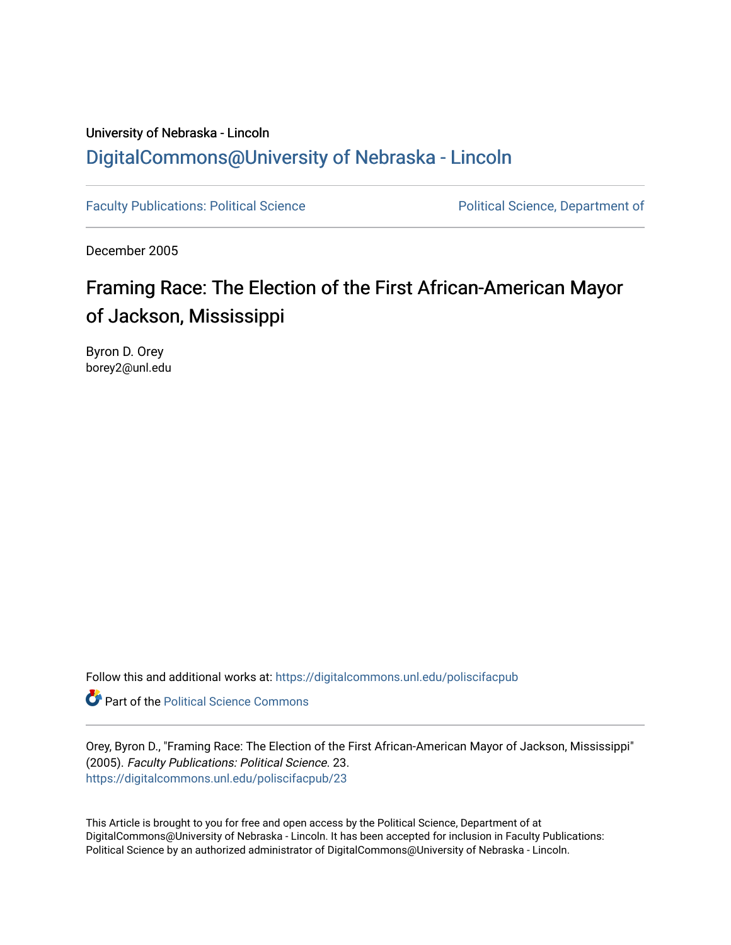# University of Nebraska - Lincoln [DigitalCommons@University of Nebraska - Lincoln](https://digitalcommons.unl.edu/)

[Faculty Publications: Political Science](https://digitalcommons.unl.edu/poliscifacpub) **Political Science** Political Science, Department of

December 2005

# Framing Race: The Election of the First African-American Mayor of Jackson, Mississippi

Byron D. Orey borey2@unl.edu

Follow this and additional works at: [https://digitalcommons.unl.edu/poliscifacpub](https://digitalcommons.unl.edu/poliscifacpub?utm_source=digitalcommons.unl.edu%2Fpoliscifacpub%2F23&utm_medium=PDF&utm_campaign=PDFCoverPages)

**Part of the Political Science Commons** 

Orey, Byron D., "Framing Race: The Election of the First African-American Mayor of Jackson, Mississippi" (2005). Faculty Publications: Political Science. 23. [https://digitalcommons.unl.edu/poliscifacpub/23](https://digitalcommons.unl.edu/poliscifacpub/23?utm_source=digitalcommons.unl.edu%2Fpoliscifacpub%2F23&utm_medium=PDF&utm_campaign=PDFCoverPages) 

This Article is brought to you for free and open access by the Political Science, Department of at DigitalCommons@University of Nebraska - Lincoln. It has been accepted for inclusion in Faculty Publications: Political Science by an authorized administrator of DigitalCommons@University of Nebraska - Lincoln.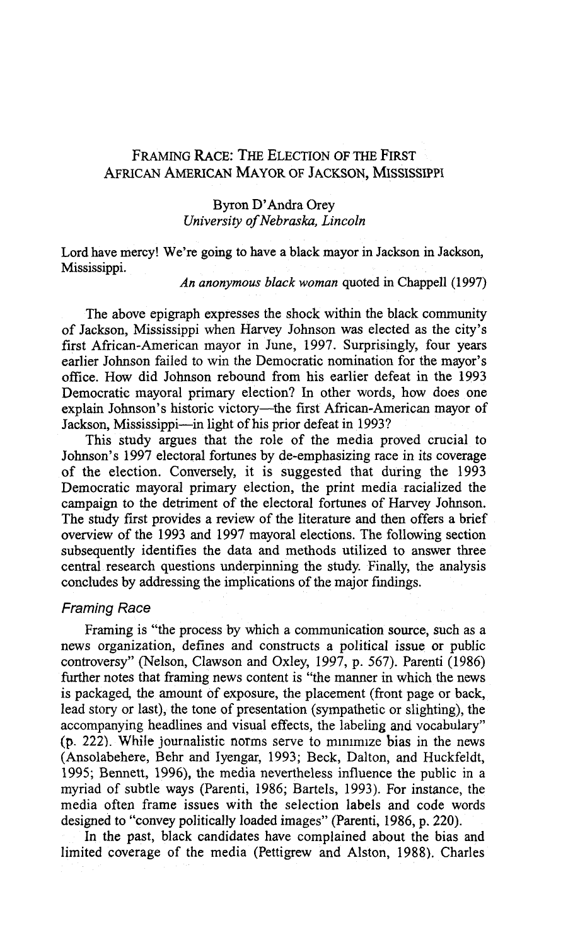## **FRAMING RACE:** THE **ELECTION OF THE FIRST AFRICAN AMERICAN MAYOR OF JACKSON, MISSISSIPPI**

#### Byron D'Andra Orey *University of Nebraska, Lincoln*

Lord have mercy! We're going to have a black mayor in Jackson in Jackson, Mississippi.

An *anonymous black woman* quoted in Chappell (1997)

The above epigraph expresses the shock within the black community of Jackson, Mississippi when Harvey Johnson was elected as the city's first African-American mayor in June, 1997. Surprisingly, four years earlier Johnson failed to win the Democratic nomination for the mayor's office. How did Johnson rebound from his earlier defeat in the 1993 Democratic mayoral primary election? In other words, how does one explain Johnson's historic victory-the first African-American mayor of Jackson, Mississippi-in light of his prior defeat in 1993?

This study argues that the role of the media proved crucial to Johnson's 1997 electoral fortunes by de-emphasizing race in its coverage of the election. Conversely, it is suggested that during the 1993 Democratic mayoral primary election, the print media racialized the campaign to the detriment of the electoral fortunes of Harvey Johnson. The study first provides a review of the literature and then offers a brief overview of the 1993 and 1997 mayoral elections. The following section subsequently identifies the data and methods utilized to answer three central research questions underpinning the study. Finally, the analysis concludes by addressing the implications of the major findings.

#### Framing Race

Framing is "the process by which a communication source, such as a news organization, defines and constructs a political issue or public controversy" (Nelson, Clawson and Oxley, 1997, p. 567). Parenti (1986) further notes that framing news content is "the manner in which the news is packaged, the amount of exposure, the placement (front page or back, lead story or last), the tone of presentation (sympathetic or slighting), the accompanying headlines and visual effects, the labeling and vocabulary"  $(p. 222)$ . While journalistic norms serve to minimize bias in the news (Ansolabehere, Behr and Iyengar, 1993; Beck, Dalton, and Huckfeldt, 1995; Bennett, 1996), the media nevertheless influence the public in a myriad of subtle ways (Parenti, 1986; Bartels, 1993). For instance, the media often frame issues with the selection labels and code words designed to "convey politically loaded images" (Parenti, 1986, p. 220).

In the past, black candidates have complained about the bias and limited coverage of the media (Pettigrew and Alston, 1988). Charles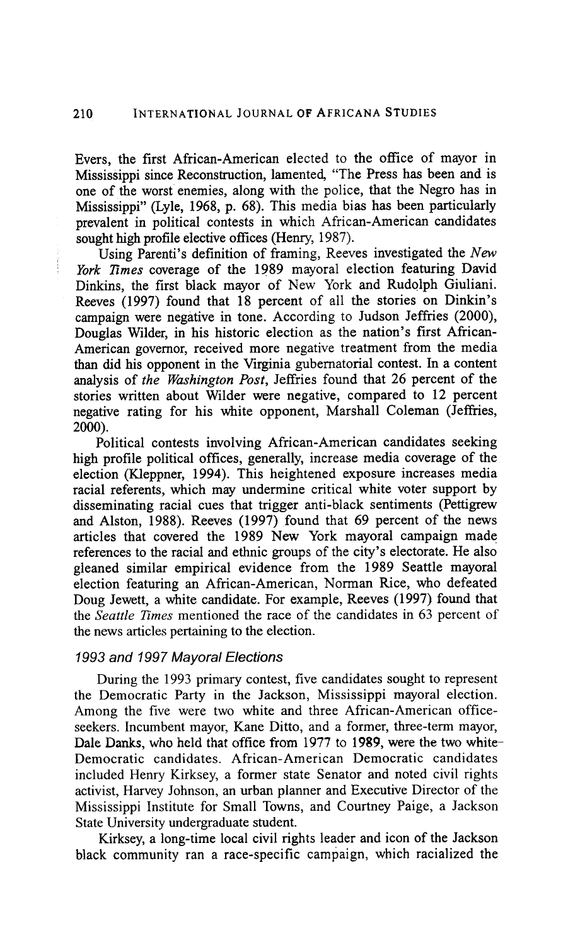Evers, the first African-American elected to the office of mayor in Mississippi since Reconstruction, lamented, "The Press has been and is one of the worst enemies, along with the police, that the Negro has in Mississippi" (Lyle, 1968, p. 68). This media bias has been particularly prevalent in political contests in which African-American candidates sought high profile elective offices (Henry, 1987).

Using Parenti's definition of framing, Reeves investigated the *New*  York Times coverage of the 1989 mayoral election featuring David Dinkins, the first black mayor of New York and Rudolph Giuliani. Reeves (1997) found that 18 percent of all the stories on Dinkin's campaign were negative in tone. According to Judson Jeffries (2000), Douglas Wilder, in his historic election as the nation's first African-American governor, received more negative treatment from the media than did his opponent in the Virginia gubernatorial contest. In a content analysis of the Washington Post, Jeffries found that 26 percent of the stories written about Wilder were negative, compared to 12 percent negative rating for his white opponent, Marshall Coleman (Jeffries, 2000).

Political contests involving African-American candidates seeking high profile political offices, generally, increase media coverage of the election (Kleppner, 1994). This heightened exposure increases media racial referents, which may undermine critical white voter support by disseminating racial cues that trigger anti-black sentiments (Pettigrew and Alston, 1988). Reeves (1997) found that 69 percent of the news articles that covered the 1989 New York mayoral campaign made references to the racial and ethnic groups of the city's electorate. He also gleaned similar empirical evidence from the 1989 Seattle mayoral election featuring an African-American, Norman Rice, who defeated Doug Jewett, a white candidate. For example, Reeves (1997) found that the *Seattle Times* mentioned the race of the candidates in 63 percent of the news articles pertaining to the election.

### 1993 **and** 1997 Mayoral Elections

During the 1993 primary contest, five candidates sought to represent the Democratic Party in the Jackson, Mississippi mayoral election. Among the five were two white and three African-American officeseekers. Incumbent mayor, Kane Ditto, and a former, three-term mayor, Dale Danks, who held that office from 1977 to 1989, were the two white-Democratic candidates. African-American Democratic candidates included Henry Kirksey, a former state Senator and noted civil rights activist, Harvey Johnson, an urban planner and Executive Director of the Mississippi Institute for Small Towns, and Courtney Paige, a Jackson State University undergraduate student.

Kirksey, a iong-time local civil rights leader and icon of the Jackson black community ran a race-specific campaign, which racialized the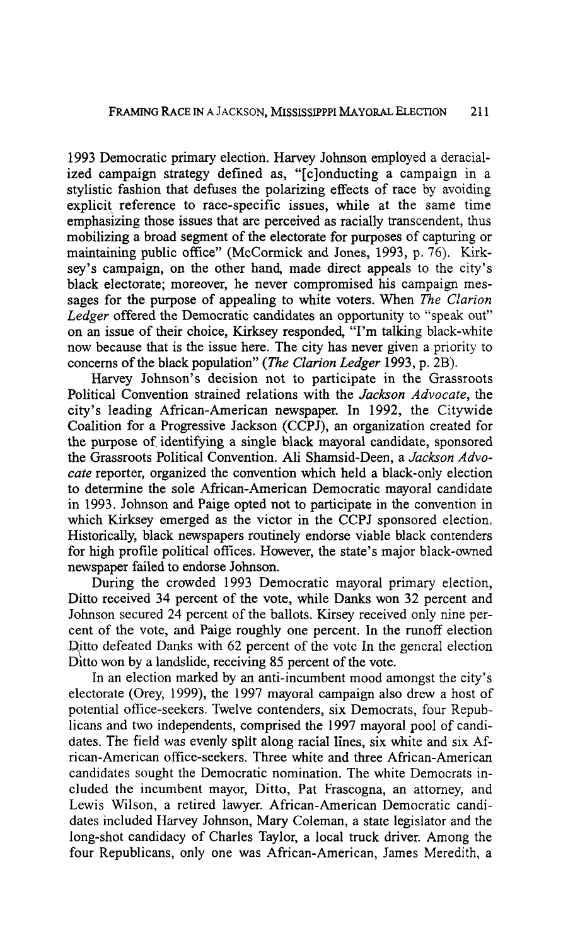1993 Democratic primary election. Harvey Johnson employed a deracialized campaign strategy defined as, "[cjonducting a campaign in a stylistic fashion that defuses the polarizing effects of race by avoiding explicit reference to race-specific issues, while at the same time emphasizing those issues that are perceived as racially transcendent, thus mobilizing a broad segment of the electorate for purposes of capturing or maintaining public office" (McCormick and Jones, 1993, p. *76).* Kirksey's campaign, on the other hand, made direct appeals to the city's black electorate; moreover, he never compromised his campaign messages for the purpose of appealing to white voters. When *The* Clarion Ledger offered the Democratic candidates an opportunity to "speak out" on an issue of their choice, Kirksey responded, "I'm talking black-white now because that is the issue here. The city has never given a priority to concerns of the black population" *(The* Clarion Ledger 1993, p. 2B).

Harvey Johnson's decision not to participate in the Grassroots Political Convention strained relations with the Jackson Advocate, the city's leading African-American newspaper. In 1992, the Citywide Coalition for a Progressive Jackson (CCPJ), an organization created for the purpose of identifying a single black mayoral candidate, sponsored the Grassroots Political Convention. Ali Shamsid-Deen, a Jackson Advocate reporter, organized the convention which held a black-only election to determine the sole African-American Democratic mayoral candidate in 1993. Johnson and Paige opted not to participate in the convention in which Kirksey emerged as the victor in the CCPJ sponsored election. Historically, black newspapers routinely endorse viable black contenders for high profile political offices. However, the state's major black-owned newspaper failed to endorse Johnson.

During the crowded 1993 Democratic mayoral primary election, Ditto received 34 percent of the vote, while Danks won **32** percent and Johnson secured 24 percent of the ballots. Kirsey received only nine percent of the vote, and Paige roughly one percent. In the runoff election Ditto defeated Danks with 62 percent of the vote In the general election Ditto won by a landslide, receiving 85 percent of the vote.

In an election marked by an anti-incumbent mood amongst the city's electorate (Orey, 1999), the 1997 mayoral campaign also drew a host of potential ofice-seekers. Twelve contenders, six Democrats, four Republicans and two independents, comprised the 1997 mayoral pool of candidates. The field was evenly split along racial lines, six white and six African-American office-seekers. Three white and three African-American candidates sought the Democratic nomination. The white Democrats included the incumbent mayor, Ditto, Pat Frascogna, an attorney, and Lewis Wilson, a retired lawyer. African-American Democratic candidates included Harvey Johnson, Mary Coleman, a state legislator and the long-shot candidacy of Charles Taylor, a local truck driver. Among the four Republicans, only one was African-American, James Meredith, a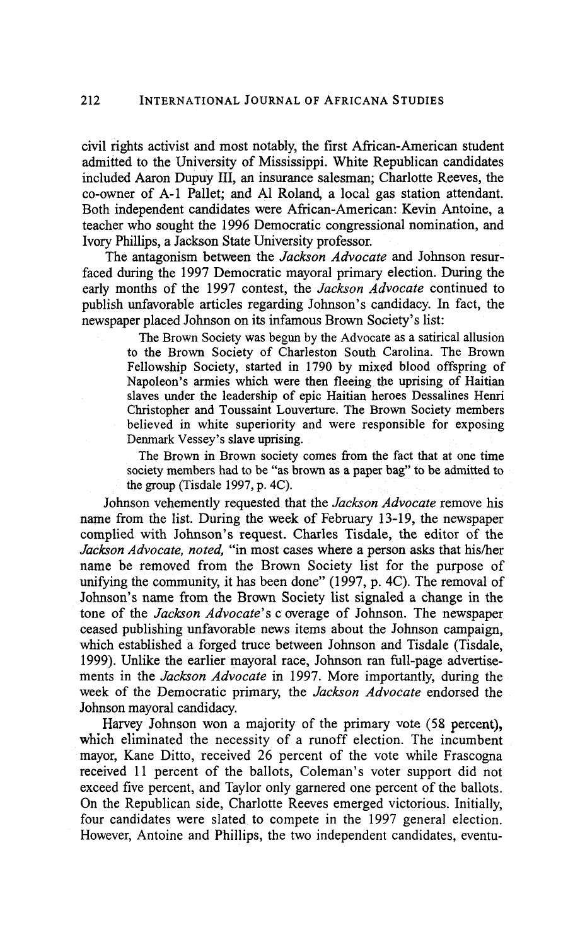civil rights activist and most notably, the first African-American student admitted to the University of Mississippi. White Republican candidates included Aaron Dupuy 111, an insurance salesman; Charlotte Reeves, the co-owner of A-1 Pallet; and A1 Roland, a local gas station attendant. Both independent candidates were African-American: Kevin Antoine, a teacher who sought the 1996 Democratic congressional nomination, and Ivory Phillips, a Jackson State University professor.

The antagonism between the *Jackson Advocate* and Johnson resurfaced during the 1997 Democratic mayoral primary election. During the early months of the 1997 contest, the *Jackson Advocate* continued to publish unfavorable articles regarding Johnson's candidacy. In fact, the newspaper placed Johnson on its infamous Brown Society's list:

> The Brown Society was begun by the Advocate as a satirical allusion to the Brown Society of Charleston South Carolina. The Brown Fellowship Society, started in 1790 by mixed blood offspring of Napoleon's armies which were then fleeing the uprising of Haitian slaves under the leadership of epic Haitian heroes Dessalines Henri Christopher and Toussaint Louverture. The Brown Society members believed in white superiority and were responsible for exposing Denmark Vessey's slave uprising.

> The Brown in Brown society comes from the fact that at one time society members had to be "as brown as a paper bag'' to be admitted to the group (Tisdale **1997,** p. 4C).

Johnson vehemently requested that the *Jackson Advocate* remove his name from the list. During the week of February 13-19, the newspaper complied with Johnson's request. Charles Tisdale, the editor of the Jackson Advocate, noted, "in most cases where a person asks that his/her name be removed from the Brown Society list for the purpose of unifying the community, it has been done" (1997, p. 4C). The removal of Johnson's name from the Brown Society list signaled a change in the tone of the *Jackson Advocate's* coverage of Johnson. The newspaper ceased publishing unfavorable news items about the Johnson campaign, which established a forged truce between Johnson and Tisdale (Tisdale, 1999). Unlike the earlier mayoral race, Johnson ran full-page advertisements in the *Jackson Advocate* in 1997. More importantly, during the week of the Democratic primary, the *Jackson Advocate* endorsed the Johnson mayoral candidacy.

Harvey Johnson won a majarity of the primary vote (58 **percent),**  which eliminated the necessity of a runoff election. The incumbent mayor, Kane Ditto, received 26 percent of the vote while Frascogna received 11 percent of the ballots, Coleman's voter support did not exceed five percent, and Taylor only garnered one percent of the ballots. On the Republican side, Charlotte Reeves emerged victorious. Initially, four candidates were slated to compete in the 1997 general election. However, Antoine and Phillips, the two independent candidates, eventu-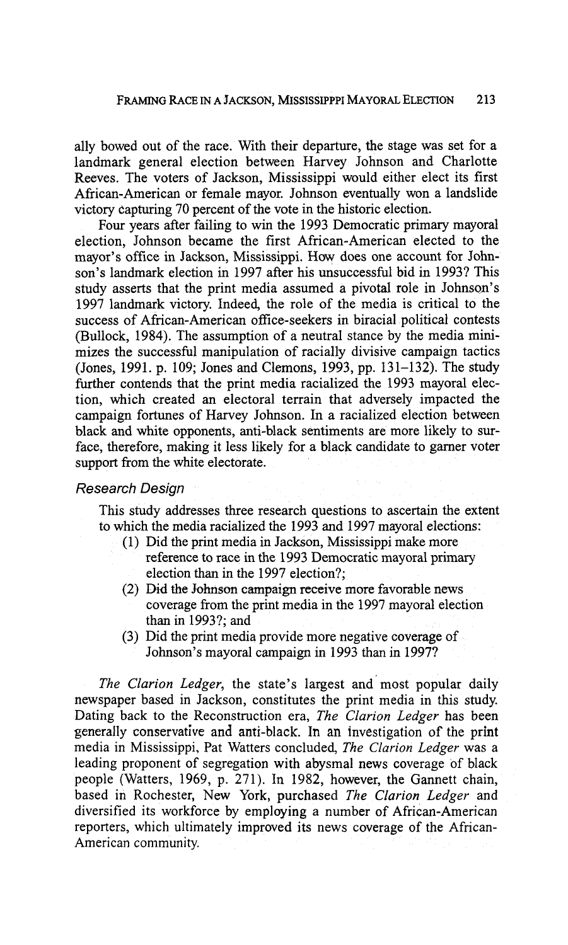ally bowed out of the race. With their departure, the stage was set for a landmark general election between Harvey Johnson and Charlotte Reeves. The voters of Jackson, Mississippi would either elect its first African-American or female mayor. Johnson eventually won a landslide victory capturing 70 percent of the vote in the historic election.

Four years after failing to win the 1993 Democratic primary mayoral election, Johnson became the first African-American elected to the mayor's office in Jackson, Mississippi. How does one account for Johnson's landmark election in 1997 after his unsuccessful bid in 1993? This study asserts that the print media assumed a pivotal role in Johnsan's 1997 landmark victory. Indeed, the role of the media is critical to the success of African-American office-seekers in biracial political contests (Bullock, 1984). The assumption of a neutral stance by the media minimizes the successful manipulation of racially divisive campaign tactics (Jones, 1991. p. 109; Jones and Clemons, 1993, pp. 131-132). The study further contends that the print media racialized the 1993 mayoral election, which created an electoral terrain that adversely impacted the campaign fortunes of Harvey Johnson. In a racialized election between black and white opponents, anti-black sentiments are more likely to surface, therefore, making it less likely for a black candidate to gamer voter support from the white electorate.

### Research Design

This study addresses three research questions to ascertain the extent to which the media racialized the 1993 and 1997 mayoral elections:

- (1) Did the print media in Jackson, Mississippi make more reference to race in the 1993 Democratic mayoral primary election than in the 1997 election?;
- (2) Did the Johnson campaign receive more favorable news coverage from the print media in the 1997 mayoral election than in 1993?; and
- (3) Did the print media provide more negative coverage of Johnson's mayoral campaign in 1993 than in 1997?

*The Clarion Ledger,* the state's largest and most popular daily newspaper based in Jackson, constitutes the print media in this study. Dating back to the Reconstruction era, *The Clarion Ledger* has been generally conservative and anti-black. In an investigation of the print media in Mississippi, Pat Watters concluded, *The Clarion Ledger* was a leading proponent of segregation with abysmal news coverage of black people (Watters, 1969, p. 271). In 1982, however, the Gannett chain, based in Rochester, New York, purchased *The Clarion Ledger* and diversified its workforce by employing a number of African-American reporters, which ultimately improved its news coverage of the African-American community.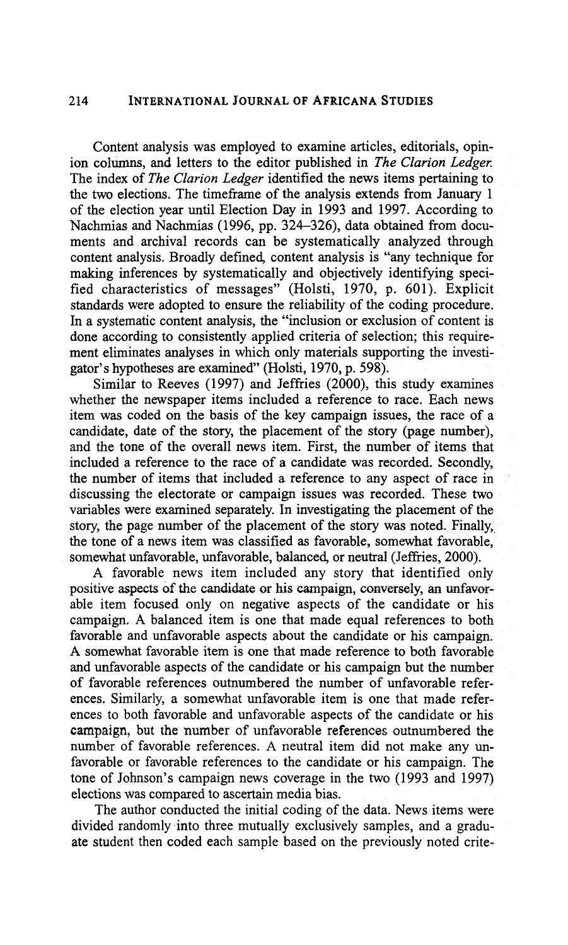Content analysis was employed to examine articles, editorials, opinion columns, and letters to the editor published in *The* **Clarion** *Ledger.*  The index of *The* Clarion *Ledger* identified the news items pertaining to the two elections. The timefiame of the analysis extends from January 1 of the election year until Election Day in 1993 and 1997. According to Nachmias and Nachmias (1996, pp. 324-326), data obtained from documents and archival records can be systematically analyzed through content analysis. Broadly defined, content analysis is "any technique for making inferences by systematically and objectively identifying specified characteristics of messages" (Holsti, 1970, p. 601). Explicit standards were adopted to ensure the reliability of the coding procedure. In a systematic content analysis, the "inclusion or exclusion of content is done according to consistently applied criteria of selection; this requirement eliminates analyses in which only materials supporting the investigator's hypotheses are examined" (Holsti, 1970, p. 598).

Similar to Reeves (1997) and Jeffiies (2000), this study examines whether the newspaper items included a reference to race. Each news item was coded on the basis of the key campaign issues, the race of a candidate, date of the story, the placement of the story (page number), and the tone of the overall news item. First, the number of items that included a reference to the race of a candidate was recorded. Secondly, the number of items that included a reference to any aspect of race in discussing the electorate or campaign issues was recorded. These two variables were examined separately. In investigating the placement of the story, the page number of the placement of the story was noted. Finally, the tone of a news item was classified as favorable, somewhat favorable, somewhat unfavorable, unfavorable, balanced, or neutral (Jeffries, 2000).

**A** favorable news item included any story that identified only positive **aspects af** the adidate **or** his campaign, conversely, an unfavorable item focused only on negative aspects of the candidate or his campaign. A balanced item is one that made equal references to both favorable and unfavorable aspects about the candidate or his campaign. A somewhat favorable item is one that made reference to both favorable and unfavorable aspects of the candidate or his campaign but the number of favorable references outnumbered the number of unfavorable references. Similarly, a somewhat unfavorable item is one that made references to both favorable and unfavorable aspects of the candidate or his **campaign,** but the number of unfavorable references outnumbered the number of favorable references. A neutral item did not make any unfavorable or favorable references to the candidate or his campaign. The tone of Johnson's campaign news coverage in the two (1993 and 1997) elections was compared to ascertain media bias.

The author conducted the initial coding of the data. News items were divided randomly into three mutually exclusively samples, and a graduate student then coded each sample based on the previously noted crite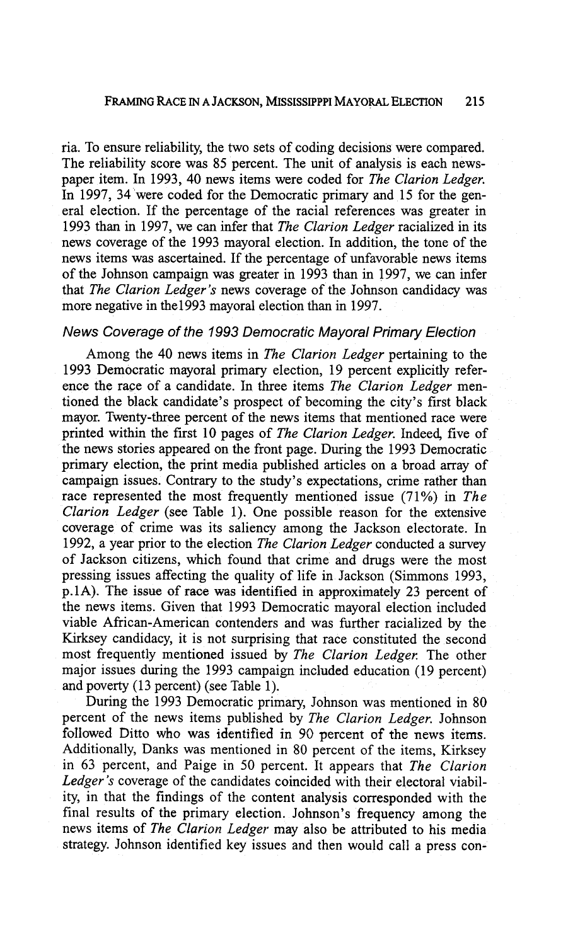ria. To ensure reliability, the two sets of coding decisions were compared. The reliability score was 85 percent. The unit of analysis is each newspaper item. In 1993, 40 news items were coded for *The Clarion Ledger.*  In 1997, 34 were coded for the Democratic primary and 15 for the general election. If the percentage of the racial references was greater in 1993 than in 1997, we can infer that *The Clarion Ledger* racialized in its news coverage of the 1993 mayoral election. In addition, the tone of the news items was ascertained. If the percentage of unfavorable news items of the Johnson campaign was greater in 1993 than in 1997, we can infer that *The Clarion Ledger's* news coverage of the Johnson candidacy was more negative in the1993 mayoral election than in 1997.

#### News Coverage of the 1993 Democratic Mayoral Primary Election

Among the 40 news items in *The Clarion Ledger* pertaining to the 1993 Democratic mayoral primary election, 19 percent explicitly reference the race of a candidate. In three items *The Clarion Ledger* mentioned the black candidate's prospect of becoming the city's first black mayor. Twenty-three percent of the news items that mentioned race were printed within the first 10 pages of *The Clarion Ledger.* Indeed, five of the news stories appeared on the front page. During the 1993 Democratic primary election, the print media published articles on a broad array of campaign issues. Contrary to the study's expectations, crime rather than race represented the most frequently mentioned issue (71%) in *The Clarion Ledger* (see Table 1). One possible reason for the extensive coverage of crime was its saliency among the Jackson electorate. In 1992, a year prior to the election *The Clarion Ledger* conducted a survey of Jackson citizens, which found that crime and drugs were the most pressing issues affecting the quality of life in Jackson (Simmons 1993, p.1A). The issue of race was identified in approximately 23 percent of the news items. Given that 1993 Democratic mayoral election included viable African-American contenders and was further racialized by the Kirksey candidacy, it is not surprising that race constituted the second most frequently mentioned issued by *The Clarion Ledger.* The other major issues during the 1993 campaign included education (19 percent) and poverty (13 percent) (see Table 1).

During the 1993 Democratic primary, Johnson was mentioned in 80 percent of the news items published by *The Clarion Ledger.* Johnson followed Ditto who was identified in 90 percent of the news items. Additionally, Danks was mentioned in 80 percent of the items, Kirksey in 63 percent, and Paige in 50 percent. It appears that *The Clarion Ledger's* coverage of the candidates coincided with their electoral viability, in that the findings of the content analysis corresponded with the final results of the primary election. Johnson's frequency among the news items of *The Clarion Ledger* may also be attributed to his media strategy. Johnson identified key issues and then would call a press con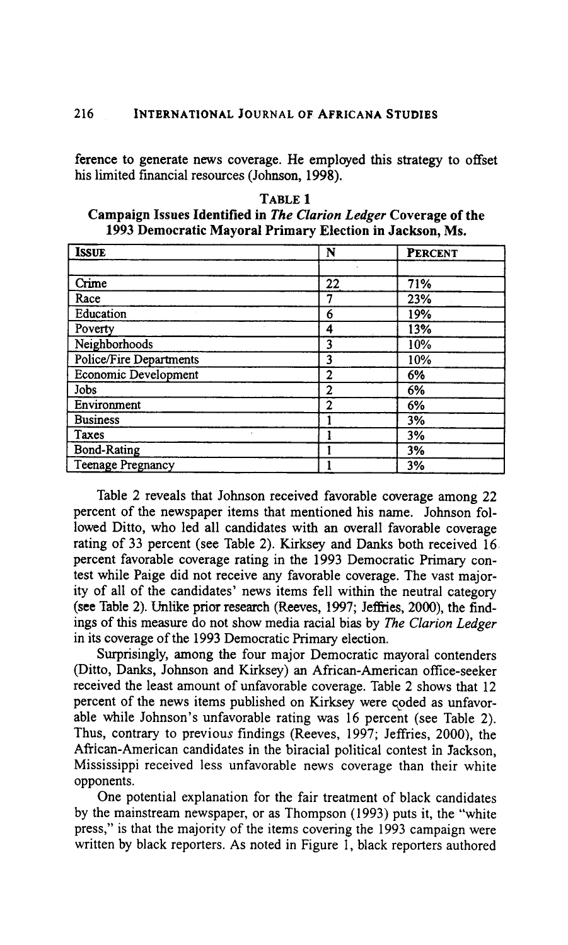ference to generate news coverage. He employed this strategy to offset his limited financial resources (Johnson, 1998).

| TABLE 1                                                                 |
|-------------------------------------------------------------------------|
| Campaign Issues Identified in <i>The Clarion Ledger</i> Coverage of the |
| 1993 Democratic Mayoral Primary Election in Jackson, Ms.                |

| <b>ISSUE</b>             | N              | <b>PERCENT</b> |
|--------------------------|----------------|----------------|
|                          |                |                |
| Crime                    | 22             | 71%            |
| Race                     |                | 23%            |
| Education                | 6              | 19%            |
| Poverty                  | 4              | 13%            |
| Neighborhoods            | 3              | 10%            |
| Police/Fire Departments  | 3              | 10%            |
| Economic Development     | $\overline{2}$ | 6%             |
| Jobs                     | $\overline{c}$ | 6%             |
| Environment              | $\overline{2}$ | 6%             |
| <b>Business</b>          |                | 3%             |
| Taxes                    |                | 3%             |
| <b>Bond-Rating</b>       |                | 3%             |
| <b>Teenage Pregnancy</b> |                | 3%             |

Table 2 reveals that Johnson received favorable coverage among **22**  percent of the newspaper items that mentioned his name. Johnson followed Ditto, who led all candidates with an overall favorable coverage rating of 33 percent (see Table 2). Kirksey and Danks both received 16 percent favorable coverage rating in the 1993 Democratic Primary contest while Paige did not receive any favorable coverage. The vast majority of all of the candidates' news items fell within the neutral category **(see** Table **2).** Unlike prior research (Reeves, 1997; JefEies, **2000),** the findings of this measure do not show media racial bias by *The Clarion Ledger*  in *its* coverage of the 1993 Democratic Primary election.

Surprisingly, among the four major Democratic mayoral contenders (Ditto, Danks, Johnson and Kirksey) an African-American office-seeker received the least amount of unfavorable coverage. Table 2 shows that 12 percent of the news items published on Kirksey were qoded as unfavorable while Johnson's unfavorable rating was 16 percent (see Table 2). Thus, contrary to previous findings (Reeves, 1997; Jeffries, **2000),** the African-American candidates in the biracial political contest in Jackson, Mississippi received less unfavorable news coverage than their white opponents.

One potential explanation for the fair treatment of black candidates by the mainstream newspaper, or as Thompson (1993) puts it, the "white press," is that the majority of the items covering the 1993 campaign were written by black reporters. As noted in Figure 1, black reporters authored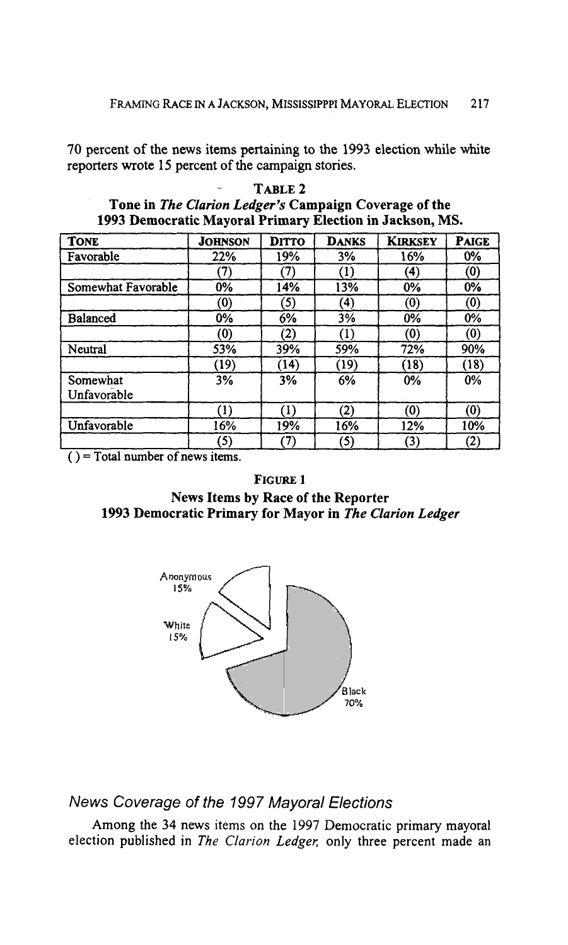70 percent of the news items pertaining to the 1993 election while white reporters wrote 15 percent of the campaign stories.

| <b>TONE</b>             | <b>JOHNSON</b> | DITTO | <b>DANKS</b> | <b>KIRKSEY</b>    | <b>PAIGE</b> |
|-------------------------|----------------|-------|--------------|-------------------|--------------|
| Favorable               | 22%            | 19%   | 3%           | 16%               | 0%           |
|                         | (7)            | (7)   | (1)          | $\left( 4\right)$ | (0)          |
| Somewhat Favorable      | $0\%$          | 14%   | 13%          | 0%                | 0%           |
|                         | (0)            | (5)   | (4)          | (0)               | (0)          |
| Balanced                | 0%             | 6%    | 3%           | 0%                | 0%           |
|                         | (0)            | (2)   | (1)          | (0)               | (0)          |
| Neutral                 | 53%            | 39%   | 59%          | 72%               | 90%          |
|                         | (19)           | (14)  | (19)         | (18)              | (18)         |
| Somewhat<br>Unfavorable | 3%             | 3%    | 6%           | $0\%$             | $0\%$        |
|                         | (1)            | (1)   | (2)          | (0)               | (0)          |
| Unfavorable             | 16%            | 19%   | 16%          | 12%               | 10%          |
|                         | (5)            | 7)    | (5)          | $\left( 3\right)$ | (2)          |

- **TABLE 2 Tone in** *The Clarion Ledger's* **Campaign Coverage of the 1993 Democratic Mayoral Primary Election in Jackson, MS.** 

( ) = **Total number of news items.** 

#### **FIGURE 1**

**News Items by Race of the Reporter 1993 Democratic Primary for Mayor in** *The Clarion Ledger* 



*News Coverage of the 1997 Mayoral Elections* 

Among the **34** news items on the 1997 Democratic primary mayoral election published in *The* **Clarion** *Ledger;* only three percent made an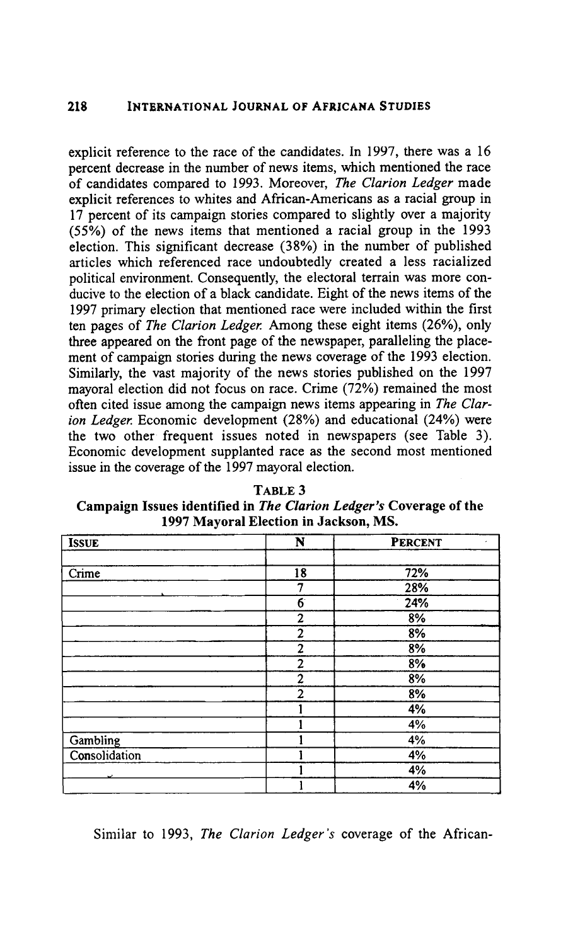explicit reference to the race of the candidates. In 1997, there was a 16 percent decrease in the number of news items, which mentioned the race of candidates compared to 1993. Moreover, *The Clarion Ledger* made explicit references to whites and African-Americans as a racial group in  $17$  percent of its campaign stories compared to slightly over a majority (55%) of the news items that mentioned a racial group in the 1993 election. This significant decrease (38%) in the number of published articles which referenced race undoubtedly created a less racialized political environment. Consequently, the electoral terrain was more conducive to the election of a black candidate. Eight of the news items of the 1997 primary election that mentioned race were included within the first ten pages of *The Clarion Ledger* Among these eight items (26%), only three appeared on the front page of the newspaper, paralleling the placement of campaign stories during the news coverage of the 1993 election. Similarly, the vast majority of the news stories published on the 1997 mayoral election did not focus on race. Crime (72%) remained the most often cited issue among the campaign news items appearing in *The Clarion Ledger* Economic development (28%) and educational (24%) were the two other frequent issues noted in newspapers (see Table 3). Economic development supplanted race as the second most mentioned issue in the coverage of the 1997 mayoral election.

**TABLE 3 Campaign Issues identified in** *The* **Clarion** *Ledger's* **Coverage of the 1997 Mayoral Election in Jackson, MS.** 

| <b>ISSUE</b>  | N                | <b>PERCENT</b><br>$\overline{\phantom{a}}$ |
|---------------|------------------|--------------------------------------------|
|               |                  |                                            |
| Crime         | $\overline{18}$  | 72%                                        |
|               | 7                | 28%                                        |
|               | $\overline{6}$   | 24%                                        |
|               | $\boldsymbol{2}$ | 8%                                         |
|               | $\overline{2}$   | 8%                                         |
|               | $\overline{c}$   | 8%                                         |
|               | $\overline{2}$   | 8%                                         |
|               | $\boldsymbol{2}$ | 8%                                         |
|               | $\overline{2}$   | 8%                                         |
|               |                  | 4%                                         |
|               |                  | 4%                                         |
| Gambling      |                  | 4%                                         |
| Consolidation |                  | 4%                                         |
|               |                  | 4%                                         |
|               |                  | 4%                                         |

Similar to 1993, *The Clarion Ledger's* coverage of the African-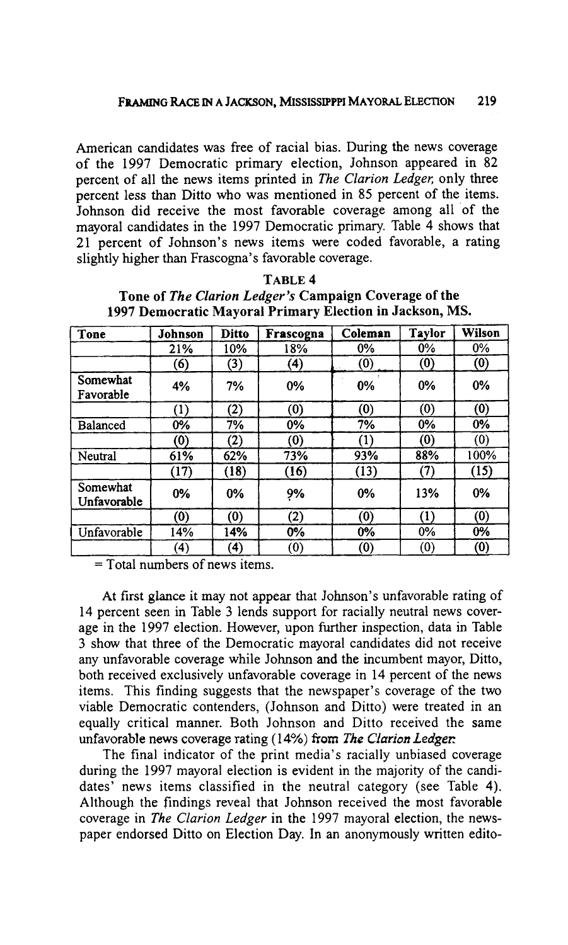American candidates was free of racial bias. During the news coverage of the 1997 Democratic primary election, Johnson appeared in 82 percent of all the news items printed in *The* **Clarion** *Ledger,* only three percent less than Ditto who was mentioned in 85 percent of the items. Johnson did receive the most favorable coverage among all of the mayoral candidates in the 1997 Democratic primary. Table 4 shows that 21 percent of Johnson's news items were coded favorable, a rating slightly higher than Frascogna's favorable coverage.

| Tone                    | Johnson            | <b>Ditto</b>      | Frascogna | Coleman | <b>Taylor</b> | Wilson |
|-------------------------|--------------------|-------------------|-----------|---------|---------------|--------|
|                         | 21%                | 10%               | 18%       | $0\%$   | $0\%$         | $0\%$  |
|                         | (6)                | (3)               | (4)       | (0)     | (0)           | (0)    |
| Somewhat<br>Favorable   | 4%                 | 7%                | 0%        | 0%      | 0%            | $0\%$  |
|                         | (1)                | (2)               | (0)       | (0)     | (0)           | (0)    |
| Balanced                | 0%                 | 7%                | 0%        | 7%      | 0%            | 0%     |
|                         | $\left( 0 \right)$ | $\left( 2\right)$ | (0)       | (1)     | (0)           | (0)    |
| Neutral                 | 61%                | 62%               | 73%       | 93%     | 88%           | 100%   |
|                         | (17)               | (18)              | (16)      | (13)    | (7)           | (15)   |
| Somewhat<br>Unfavorable | $0\%$              | $0\%$             | 9%        | 0%      | 13%           | 0%     |
|                         | (0)                | (0)               | (2)       | (0)     | (1)           | (0)    |
| Unfavorable             | 14%                | 14%               | $0\%$     | $0\%$   | $0\%$         | 0%     |
|                         | (4)                | $\bf{(4)}$        | (0)       | (0)     | (0)           | (0)    |

TABLE 4 Tone of *The Clarion Ledger's* Campaign Coverage of **the**  1997 Democratic Mayoral Primary Election in Jackson, MS.

 $=$  Total numbers of news items.

At first glance it may not appear that Johnson's unfavorable rating of 14 percent seen in Table **3** lends support for racially neutral news coverage in the 1997 election. However, upon further inspection, data in Table **3** show that three of the Democratic mayoral candidates did not receive any unfavorable coverage while Johnson and the incumbent mayor, Ditto, both received exclusively unfavorable coverage in 14 percent of the news items. This finding suggests that the newspaper's coverage of the two viable Democratic contenders, (Johnson and Ditto) were treated in an equally critical manner. Both Johnson and Ditto received the same unfavorable news coverage rating (14%) from *The* **Clarion** *Ledger:* 

The final indicator of the print media's racially unbiased coverage during the 1997 mayoral election is evident in the majority of the candidates' news items classified in the neutral category (see Table 4). Although the findings reveal that Johnson received the most favorable coverage in *The* **Clarion** *Ledger* in the 1997 mayoral election, the newspaper endorsed Ditto on Election Day. In an anonymously written edito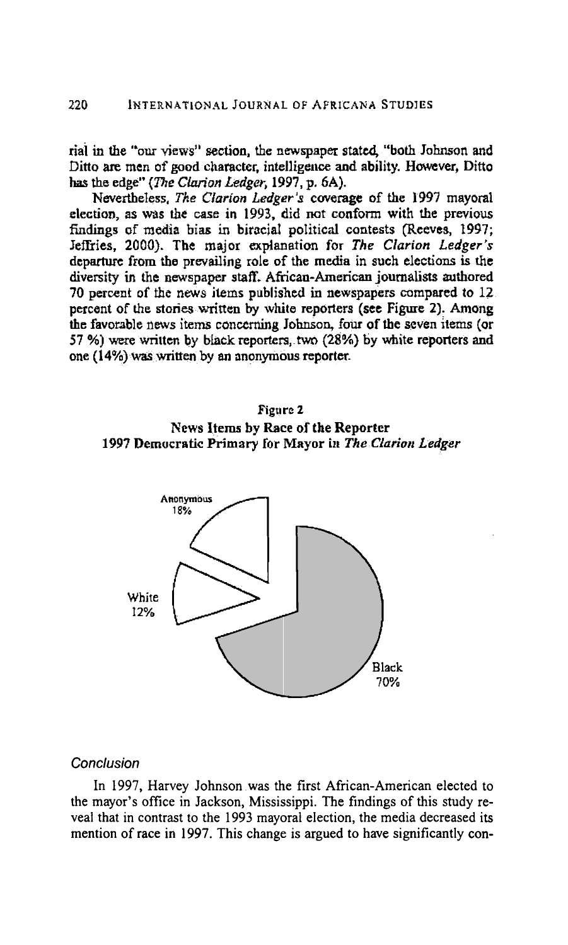**rial** in **the "our views" section,** the **newspaper stated, "both** Johnson **and**  Ditto are men of good character, intelligence and ability. However, Ditto **has** the **edge"** *(me* **Cbion** *Ledger,* **1997, p. 6A).** 

**Nevertheless,** *The Clarion Ledger's* coverage of the 1997 mayoral **election, as wiis tbe** case **in 1993,** did **nat conform with the previous**  findings of media bias in biracial political contests (Reeves, 1997; **Jeffries, 2000). The major** explanatiun **for** *The* **Clarion** *Ledger's*  **departwc from the** prevailing role of the **media in such** elections **is the diversity in &he newspaper staff. African-American journalists** authored 70 percent of the news items published in newspapers compared to 12 **percent of the stories written by white reporters (see Figure 2). Among**  the favorable news items concerning Johnson, four of the seven items (or  $57$  %) were written by black reporters, two (28%) by white reporters and one (14%) was **written by m anonymous reporter-**





#### **Conclusion**

In 1997, Harvey Johnson was the first African-American elected to the mayor's office in Jackson, Mississippi. The findings of this study reveal that in contrast to the 1993 mayoral election, the media decreased its mention of race in 1997. This change is argued to have significantly con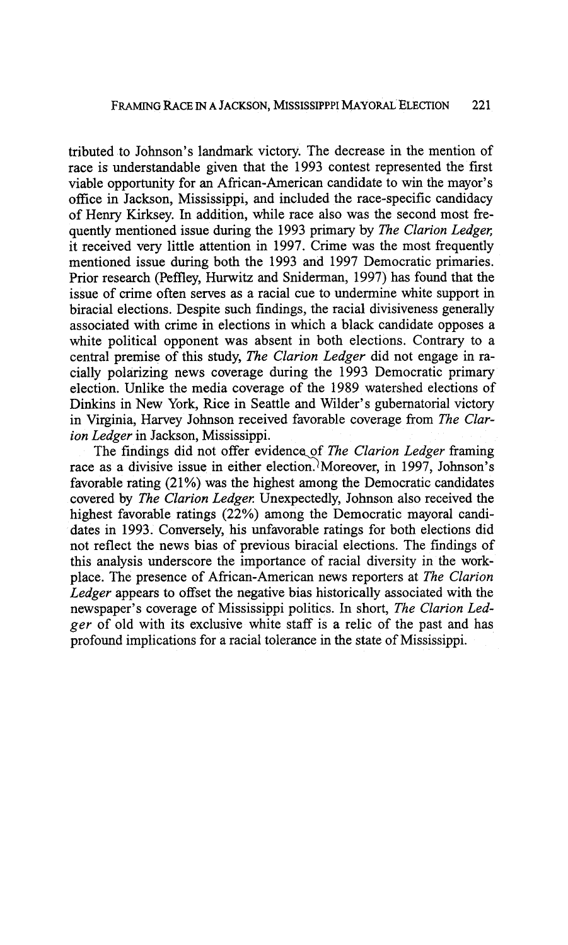tributed to Johnson's landmark victory. The decrease in the mention of race is understandable given that the 1993 contest represented the first viable opportunity for an African-American candidate to win the mayor's office in Jackson, Mississippi, and included the race-specific candidacy of Henry Kirksey. In addition, while race also was the second most fiequently mentioned issue during the 1993 primary by *The Clarion Ledger*; it received very little attention in 1997. Crime was the most frequently mentioned issue during both the 1993 and 1997 Democratic primaries. Prior research (Peffley, Hurwitz and Sniderman, 1997) has found that the issue of crime often serves as a racial cue to undermine white support in biracial elections. Despite such findings, the racial divisiveness generally associated with crime in elections in which a black candidate opposes a white political opponent was absent in both elections. Contrary to a central premise of this study, *The Clarion Ledger* did not engage in racially polarizing news coverage during the 1993 Democratic primary election. Unlike the media coverage of the 1989 watershed elections of Dinkins in New York, Rice in Seattle and Wilder's gubernatorial victory in Virginia, Harvey Johnson received favorable coverage from *The Clarion Ledger* in Jackson, Mississippi.

The findings did not offer evidence of *The Clarion Ledger* framing ion Ledger in Jackson, Mississippi.<br>The findings did not offer evidence of *The Clarion Ledger* framing race as a divisive issue in either election. Moreover, in 1997, Johnson's favorable rating (21%) was the highest among the Democratic candidates covered by *The Clarion Ledger*: Unexpectedly, Johnson also received the highest favorable ratings (22%) among the Democratic mayoral candidates in 1993. Conversely, his unfavorable ratings for both elections did not reflect the news bias of previous biracial elections. The findings of this analysis underscore the importance of racial diversity in the workplace. The presence of African-American news reporters at *The Clarion Ledger* appears to offset the negative bias historically associated with the newspaper's coverage of Mississippi politics. In short, *The Clarion Ledger* of old with its exclusive white staff is a relic of the past and has profound implications for a racial tolerance in the state of Mississippi.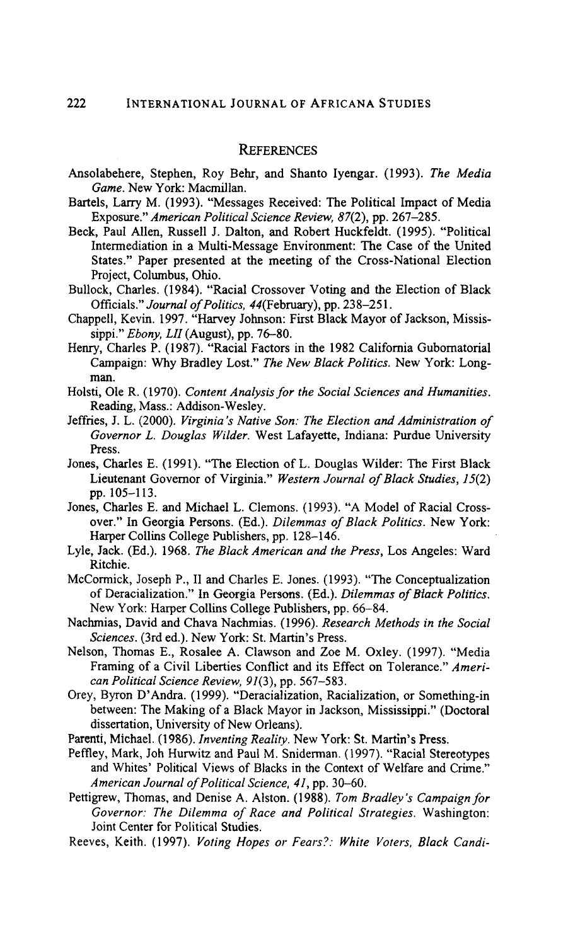#### **REFERENCES**

- Ansolabehere, Stephen, Roy Behr, and Shanto Iyengar. (1993). *The Media Game.* New York: Macmillan.
- Bartels, Larry M. (1993). "Messages Received: The Political Impact of Media Exposure." *American Political Science Review,* 87(2), pp. 267-285.
- Beck, Paul Allen, Russell J. Dalton, and Robert Huckfeldt. (1995). "Political Intermediation in a Multi-Message Environment: The Case of the United States." Paper presented at the meeting of the Cross-National Election Project, Columbus, Ohio.
- Bullock, Charles. (1984). "Racial Crossover Voting and the Election of Black Officials." *Journal of Politics, 44* (February), pp. 238-251.
- Chappell, Kevin. 1997. "Harvey Johnson: First Black Mayor of Jackson, Mississippi." *Ebony, LIZ* (August), pp. 76-80.
- Henry, Charles P. (1987). "Racial Factors in the 1982 California Gubomatorial Campaign: Why Bradley Lost." *The New Black Politics.* New York: Longman.
- Holsti, Ole R. (1970). *Content Analysis for the Social Sciences and Humanities.*  Reading, Mass.: Addison-Wesley.
- Jeffries, J. L. (2000). *Virginia's Native Son: The Election and Administration of Governor L. Douglas Wilder.* West Lafayette, Indiana: Purdue University Press.
- Jones, Charles E. (1991). "The Election of L. Douglas Wilder: The First Black Lieutenant Governor of Virginia." *Western Journal of Black Studies,* 15(2) pp. 105-1 13.
- Jones, Charles E. and Michael L. Clemons. (1993). "A Model of Racial Crossover." In Georgia Persons. (Ed.). *Dilemmas* of *Black Politics.* New York: Harper Collins College Publishers, pp. 128-146.
- Lyle, Jack. (Ed.). 1968. *The Black American and the Press,* Los Angeles: Ward Ritchie.
- McCormick, Joseph P., I1 and Charles E. Jones. (1993). "The Conceptualization of Deracialization." In Georgia Persons. (Ed.). *Dilemmas* of *Biack Politics.*  New York: Harper Collins College Publishers, pp. 66-84.
- Nachmias, David and Chava Nachmias. (1996). *Research Methods in the Social Sciences.* (3rd ed.). New York: St. Martin's Press.
- Nelson, Thomas E., Rosalee A. Clawson and Zoe M. Oxley. (1997). "Media Framing of a Civil Liberties Conflict and its Effect on Tolerance." *American Political Science Review,* 91(3), pp. 567-583.
- Orey, Byron D'Andra. (1999). "Deracialization, Racialization, or Something-in between: The Making of a Black Mayor in Jackson, Mississippi." (Doctoral dissertation, University of New Orleans).
- **Parenti,** Michael. (1986). *Inventing Reality.* New York: St. Martin's Press.
- Peffley, Mark, Joh Hurwitz and Paul M. Sniderman. (1997). "Racial Stereotypes and Whites' Political Views of Blacks in the Context of Welfare and Crime." *American Journal of Political Science,* 41, pp. *30-60.*
- Pettigrew, Thomas, and Denise A. Alston. (1988). *Tom Bradley's Campaign for Governor: The Dilemma of Race and Political Strategies.* Washington: Joint Center for Political Studies.
- Reeves, Keith. (1997). *Voting Hopes or Fears?: White Voters, Black Candi-*